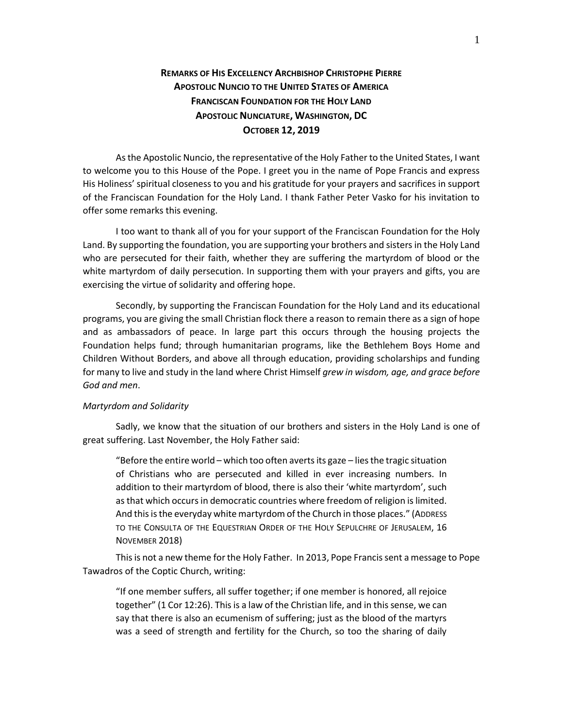## **REMARKS OF HIS EXCELLENCY ARCHBISHOP CHRISTOPHE PIERRE APOSTOLIC NUNCIO TO THE UNITED STATES OF AMERICA FRANCISCAN FOUNDATION FOR THE HOLY LAND APOSTOLIC NUNCIATURE, WASHINGTON, DC OCTOBER 12, 2019**

As the Apostolic Nuncio, the representative of the Holy Father to the United States, I want to welcome you to this House of the Pope. I greet you in the name of Pope Francis and express His Holiness' spiritual closeness to you and his gratitude for your prayers and sacrifices in support of the Franciscan Foundation for the Holy Land. I thank Father Peter Vasko for his invitation to offer some remarks this evening.

I too want to thank all of you for your support of the Franciscan Foundation for the Holy Land. By supporting the foundation, you are supporting your brothers and sisters in the Holy Land who are persecuted for their faith, whether they are suffering the martyrdom of blood or the white martyrdom of daily persecution. In supporting them with your prayers and gifts, you are exercising the virtue of solidarity and offering hope.

Secondly, by supporting the Franciscan Foundation for the Holy Land and its educational programs, you are giving the small Christian flock there a reason to remain there as a sign of hope and as ambassadors of peace. In large part this occurs through the housing projects the Foundation helps fund; through humanitarian programs, like the Bethlehem Boys Home and Children Without Borders, and above all through education, providing scholarships and funding for many to live and study in the land where Christ Himself *grew in wisdom, age, and grace before God and men*.

## *Martyrdom and Solidarity*

Sadly, we know that the situation of our brothers and sisters in the Holy Land is one of great suffering. Last November, the Holy Father said:

"Before the entire world – which too often averts its gaze – lies the tragic situation of Christians who are persecuted and killed in ever increasing numbers. In addition to their martyrdom of blood, there is also their 'white martyrdom', such as that which occurs in democratic countries where freedom of religion is limited. And this is the everyday white martyrdom of the Church in those places." (ADDRESS TO THE CONSULTA OF THE EQUESTRIAN ORDER OF THE HOLY SEPULCHRE OF JERUSALEM, 16 NOVEMBER 2018)

This is not a new theme for the Holy Father. In 2013, Pope Francissent a message to Pope Tawadros of the Coptic Church, writing:

"If one member suffers, all suffer together; if one member is honored, all rejoice together" (1 Cor 12:26). This is a law of the Christian life, and in this sense, we can say that there is also an ecumenism of suffering; just as the blood of the martyrs was a seed of strength and fertility for the Church, so too the sharing of daily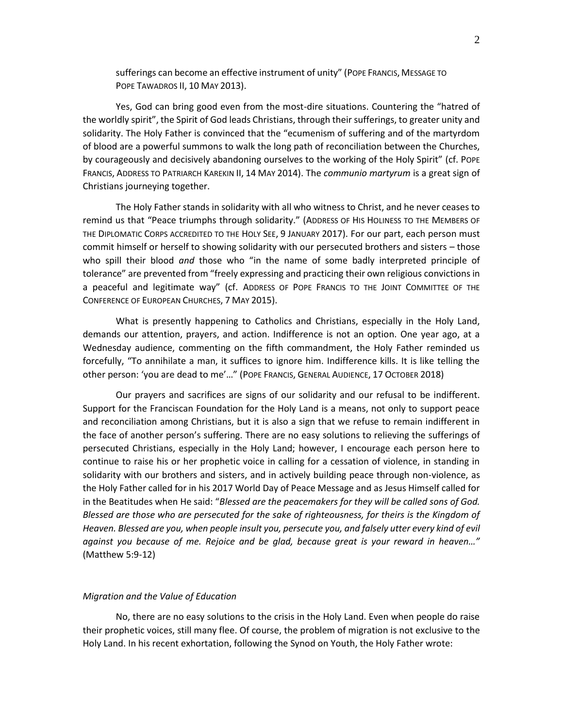sufferings can become an effective instrument of unity" (POPE FRANCIS, MESSAGE TO POPE TAWADROS II, 10 MAY 2013).

Yes, God can bring good even from the most-dire situations. Countering the "hatred of the worldly spirit", the Spirit of God leads Christians, through their sufferings, to greater unity and solidarity. The Holy Father is convinced that the "ecumenism of suffering and of the martyrdom of blood are a powerful summons to walk the long path of reconciliation between the Churches, by courageously and decisively abandoning ourselves to the working of the Holy Spirit" (cf. POPE FRANCIS, ADDRESS TO PATRIARCH KAREKIN II, 14 MAY 2014). The *communio martyrum* is a great sign of Christians journeying together.

The Holy Father stands in solidarity with all who witness to Christ, and he never ceases to remind us that "Peace triumphs through solidarity." (ADDRESS OF HIS HOLINESS TO THE MEMBERS OF THE DIPLOMATIC CORPS ACCREDITED TO THE HOLY SEE, 9 JANUARY 2017). For our part, each person must commit himself or herself to showing solidarity with our persecuted brothers and sisters – those who spill their blood *and* those who "in the name of some badly interpreted principle of tolerance" are prevented from "freely expressing and practicing their own religious convictions in a peaceful and legitimate way" (cf. ADDRESS OF POPE FRANCIS TO THE JOINT COMMITTEE OF THE CONFERENCE OF EUROPEAN CHURCHES, 7 MAY 2015).

What is presently happening to Catholics and Christians, especially in the Holy Land, demands our attention, prayers, and action. Indifference is not an option. One year ago, at a Wednesday audience, commenting on the fifth commandment, the Holy Father reminded us forcefully, "To annihilate a man, it suffices to ignore him. Indifference kills. It is like telling the other person: 'you are dead to me'…" (POPE FRANCIS, GENERAL AUDIENCE, 17 OCTOBER 2018)

Our prayers and sacrifices are signs of our solidarity and our refusal to be indifferent. Support for the Franciscan Foundation for the Holy Land is a means, not only to support peace and reconciliation among Christians, but it is also a sign that we refuse to remain indifferent in the face of another person's suffering. There are no easy solutions to relieving the sufferings of persecuted Christians, especially in the Holy Land; however, I encourage each person here to continue to raise his or her prophetic voice in calling for a cessation of violence, in standing in solidarity with our brothers and sisters, and in actively building peace through non-violence, as the Holy Father called for in his 2017 World Day of Peace Message and as Jesus Himself called for in the Beatitudes when He said: "*Blessed are the peacemakers for they will be called sons of God. Blessed are those who are persecuted for the sake of righteousness, for theirs is the Kingdom of Heaven. Blessed are you, when people insult you, persecute you, and falsely utter every kind of evil against you because of me. Rejoice and be glad, because great is your reward in heaven…"*  (Matthew 5:9-12)

## *Migration and the Value of Education*

No, there are no easy solutions to the crisis in the Holy Land. Even when people do raise their prophetic voices, still many flee. Of course, the problem of migration is not exclusive to the Holy Land. In his recent exhortation, following the Synod on Youth, the Holy Father wrote: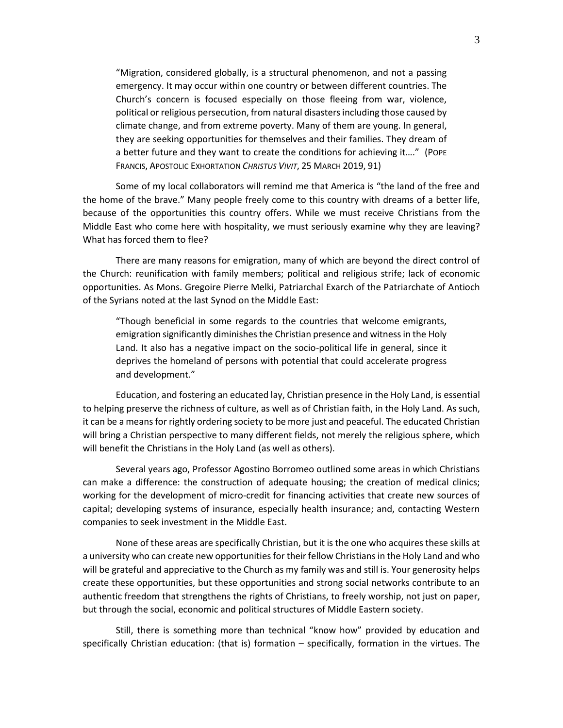"Migration, considered globally, is a structural phenomenon, and not a passing emergency. It may occur within one country or between different countries. The Church's concern is focused especially on those fleeing from war, violence, political or religious persecution, from natural disasters including those caused by climate change, and from extreme poverty. Many of them are young. In general, they are seeking opportunities for themselves and their families. They dream of a better future and they want to create the conditions for achieving it…." (POPE FRANCIS, APOSTOLIC EXHORTATION *CHRISTUS VIVIT*, 25 MARCH 2019, 91)

Some of my local collaborators will remind me that America is "the land of the free and the home of the brave." Many people freely come to this country with dreams of a better life, because of the opportunities this country offers. While we must receive Christians from the Middle East who come here with hospitality, we must seriously examine why they are leaving? What has forced them to flee?

There are many reasons for emigration, many of which are beyond the direct control of the Church: reunification with family members; political and religious strife; lack of economic opportunities. As Mons. Gregoire Pierre Melki, Patriarchal Exarch of the Patriarchate of Antioch of the Syrians noted at the last Synod on the Middle East:

"Though beneficial in some regards to the countries that welcome emigrants, emigration significantly diminishes the Christian presence and witness in the Holy Land. It also has a negative impact on the socio-political life in general, since it deprives the homeland of persons with potential that could accelerate progress and development."

Education, and fostering an educated lay, Christian presence in the Holy Land, is essential to helping preserve the richness of culture, as well as of Christian faith, in the Holy Land. As such, it can be a means for rightly ordering society to be more just and peaceful. The educated Christian will bring a Christian perspective to many different fields, not merely the religious sphere, which will benefit the Christians in the Holy Land (as well as others).

Several years ago, Professor Agostino Borromeo outlined some areas in which Christians can make a difference: the construction of adequate housing; the creation of medical clinics; working for the development of micro-credit for financing activities that create new sources of capital; developing systems of insurance, especially health insurance; and, contacting Western companies to seek investment in the Middle East.

None of these areas are specifically Christian, but it is the one who acquires these skills at a university who can create new opportunities for their fellow Christians in the Holy Land and who will be grateful and appreciative to the Church as my family was and still is. Your generosity helps create these opportunities, but these opportunities and strong social networks contribute to an authentic freedom that strengthens the rights of Christians, to freely worship, not just on paper, but through the social, economic and political structures of Middle Eastern society.

Still, there is something more than technical "know how" provided by education and specifically Christian education: (that is) formation – specifically, formation in the virtues. The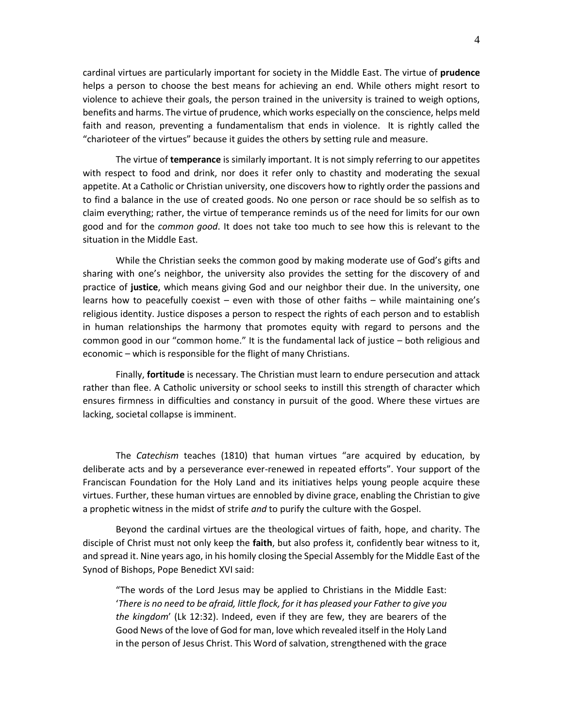cardinal virtues are particularly important for society in the Middle East. The virtue of **prudence** helps a person to choose the best means for achieving an end. While others might resort to violence to achieve their goals, the person trained in the university is trained to weigh options, benefits and harms. The virtue of prudence, which works especially on the conscience, helps meld faith and reason, preventing a fundamentalism that ends in violence. It is rightly called the "charioteer of the virtues" because it guides the others by setting rule and measure.

The virtue of **temperance** is similarly important. It is not simply referring to our appetites with respect to food and drink, nor does it refer only to chastity and moderating the sexual appetite. At a Catholic or Christian university, one discovers how to rightly order the passions and to find a balance in the use of created goods. No one person or race should be so selfish as to claim everything; rather, the virtue of temperance reminds us of the need for limits for our own good and for the *common good*. It does not take too much to see how this is relevant to the situation in the Middle East.

While the Christian seeks the common good by making moderate use of God's gifts and sharing with one's neighbor, the university also provides the setting for the discovery of and practice of **justice**, which means giving God and our neighbor their due. In the university, one learns how to peacefully coexist – even with those of other faiths – while maintaining one's religious identity. Justice disposes a person to respect the rights of each person and to establish in human relationships the harmony that promotes equity with regard to persons and the common good in our "common home." It is the fundamental lack of justice – both religious and economic – which is responsible for the flight of many Christians.

Finally, **fortitude** is necessary. The Christian must learn to endure persecution and attack rather than flee. A Catholic university or school seeks to instill this strength of character which ensures firmness in difficulties and constancy in pursuit of the good. Where these virtues are lacking, societal collapse is imminent.

The *Catechism* teaches (1810) that human virtues "are acquired by education, by deliberate acts and by a perseverance ever-renewed in repeated efforts". Your support of the Franciscan Foundation for the Holy Land and its initiatives helps young people acquire these virtues. Further, these human virtues are ennobled by divine grace, enabling the Christian to give a prophetic witness in the midst of strife *and* to purify the culture with the Gospel.

Beyond the cardinal virtues are the theological virtues of faith, hope, and charity. The disciple of Christ must not only keep the **faith**, but also profess it, confidently bear witness to it, and spread it. Nine years ago, in his homily closing the Special Assembly for the Middle East of the Synod of Bishops, Pope Benedict XVI said:

"The words of the Lord Jesus may be applied to Christians in the Middle East: '*There is no need to be afraid, little flock, for it has pleased your Father to give you the kingdom*' (Lk 12:32). Indeed, even if they are few, they are bearers of the Good News of the love of God for man, love which revealed itself in the Holy Land in the person of Jesus Christ. This Word of salvation, strengthened with the grace